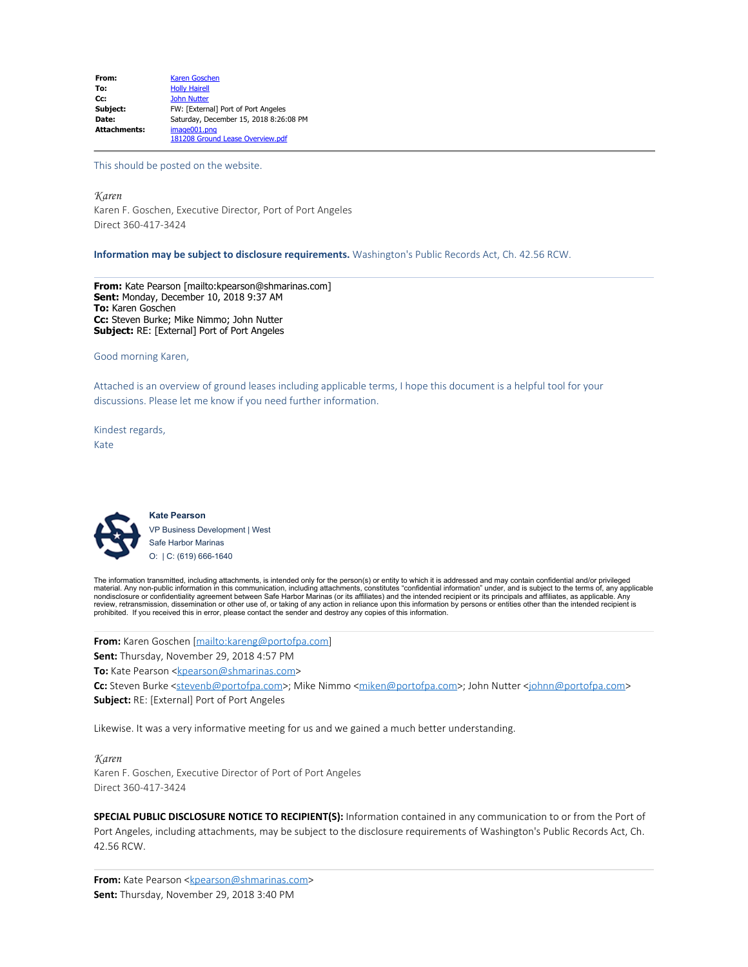| From:               | <b>Karen Goschen</b>                   |
|---------------------|----------------------------------------|
| To:                 | <b>Holly Hairell</b>                   |
| Cc:                 | <b>John Nutter</b>                     |
| Subject:            | FW: [External] Port of Port Angeles    |
| Date:               | Saturday, December 15, 2018 8:26:08 PM |
| <b>Attachments:</b> | image001.png                           |
|                     | 181208 Ground Lease Overview.pdf       |

This should be posted on the website.

*Karen* Karen F. Goschen, Executive Director, Port of Port Angeles Direct 360-417-3424

**Information may be subject to disclosure requirements.** Washington's Public Records Act, Ch. 42.56 RCW.

**From:** Kate Pearson [mailto:kpearson@shmarinas.com] **Sent:** Monday, December 10, 2018 9:37 AM **To:** Karen Goschen **Cc:** Steven Burke; Mike Nimmo; John Nutter **Subject:** RE: [External] Port of Port Angeles

Good morning Karen,

Attached is an overview of ground leases including applicable terms, I hope this document is a helpful tool for your discussions. Please let me know if you need further information.

Kindest regards, Kate



**Kate Pearson** VP Business Development | West Safe Harbor Marinas O: | C: (619) 666-1640

The information transmitted, including attachments, is intended only for the person(s) or entity to which it is addressed and may contain confidential and/or privileged<br>material. Any non-public information in this communic review, retransmission, dissemination or other use of, or taking of any action in reliance upon this information by persons or entities other than the intended recipient is<br>prohibited. If you received this in error, please

**From:** Karen Goschen [\[mailto:kareng@portofpa.com](mailto:kareng@portofpa.com)]

**Sent:** Thursday, November 29, 2018 4:57 PM

**To:** Kate Pearson [<kpearson@shmarinas.com>](mailto:kpearson@shmarinas.com)

Cc: Steven Burke [<stevenb@portofpa.com](mailto:stevenb@portofpa.com)>; Mike Nimmo [<miken@portofpa.com](mailto:miken@portofpa.com)>; John Nutter [<johnn@portofpa.com](mailto:johnn@portofpa.com)> **Subject:** RE: [External] Port of Port Angeles

Likewise. It was a very informative meeting for us and we gained a much better understanding.

#### *Karen*

Karen F. Goschen, Executive Director of Port of Port Angeles Direct 360-417-3424

**SPECIAL PUBLIC DISCLOSURE NOTICE TO RECIPIENT(S):** Information contained in any communication to or from the Port of Port Angeles, including attachments, may be subject to the disclosure requirements of Washington's Public Records Act, Ch. 42.56 RCW.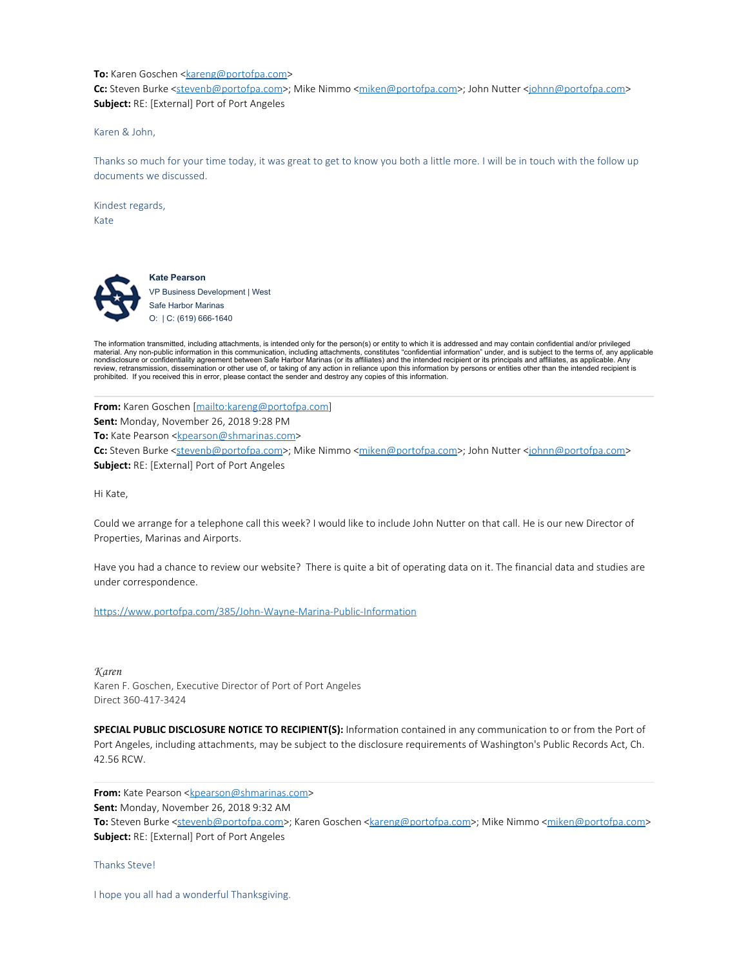#### **To:** Karen Goschen [<kareng@portofpa.com](mailto:kareng@portofpa.com)>

Cc: Steven Burke [<stevenb@portofpa.com](mailto:stevenb@portofpa.com)>; Mike Nimmo [<miken@portofpa.com](mailto:miken@portofpa.com)>; John Nutter [<johnn@portofpa.com](mailto:johnn@portofpa.com)> **Subject:** RE: [External] Port of Port Angeles

Karen & John,

Thanks so much for your time today, it was great to get to know you both a little more. I will be in touch with the follow up documents we discussed.

Kindest regards, Kate



**Kate Pearson** VP Business Development | West Safe Harbor Marinas O: | C: (619) 666-1640

The information transmitted, including attachments, is intended only for the person(s) or entity to which it is addressed and may contain confidential and/or privileged<br>material. Any non-public information in this communic nondisclosure or confidentiality agreement between Safe Harbor Marinas (or its affiliates) and the intended recipient or its principals and affiliates, as applicable. Any<br>review, retransmission, dissemination or other use prohibited. If you received this in error, please contact the sender and destroy any copies of this information.

**From:** Karen Goschen [\[mailto:kareng@portofpa.com](mailto:kareng@portofpa.com)] **Sent:** Monday, November 26, 2018 9:28 PM **To:** Kate Pearson [<kpearson@shmarinas.com>](mailto:kpearson@shmarinas.com)

Cc: Steven Burke [<stevenb@portofpa.com](mailto:stevenb@portofpa.com)>; Mike Nimmo [<miken@portofpa.com](mailto:miken@portofpa.com)>; John Nutter [<johnn@portofpa.com](mailto:johnn@portofpa.com)> **Subject:** RE: [External] Port of Port Angeles

Hi Kate,

Could we arrange for a telephone call this week? I would like to include John Nutter on that call. He is our new Director of Properties, Marinas and Airports.

Have you had a chance to review our website? There is quite a bit of operating data on it. The financial data and studies are under correspondence.

<https://www.portofpa.com/385/John-Wayne-Marina-Public-Information>

*Karen* Karen F. Goschen, Executive Director of Port of Port Angeles Direct 360-417-3424

**SPECIAL PUBLIC DISCLOSURE NOTICE TO RECIPIENT(S):** Information contained in any communication to or from the Port of Port Angeles, including attachments, may be subject to the disclosure requirements of Washington's Public Records Act, Ch. 42.56 RCW.

**From:** Kate Pearson [<kpearson@shmarinas.com](mailto:kpearson@shmarinas.com)>

**Sent:** Monday, November 26, 2018 9:32 AM

**To:** Steven Burke [<stevenb@portofpa.com](mailto:stevenb@portofpa.com)>; Karen Goschen [<kareng@portofpa.com](mailto:kareng@portofpa.com)>; Mike Nimmo [<miken@portofpa.com](mailto:miken@portofpa.com)> **Subject:** RE: [External] Port of Port Angeles

Thanks Steve!

I hope you all had a wonderful Thanksgiving.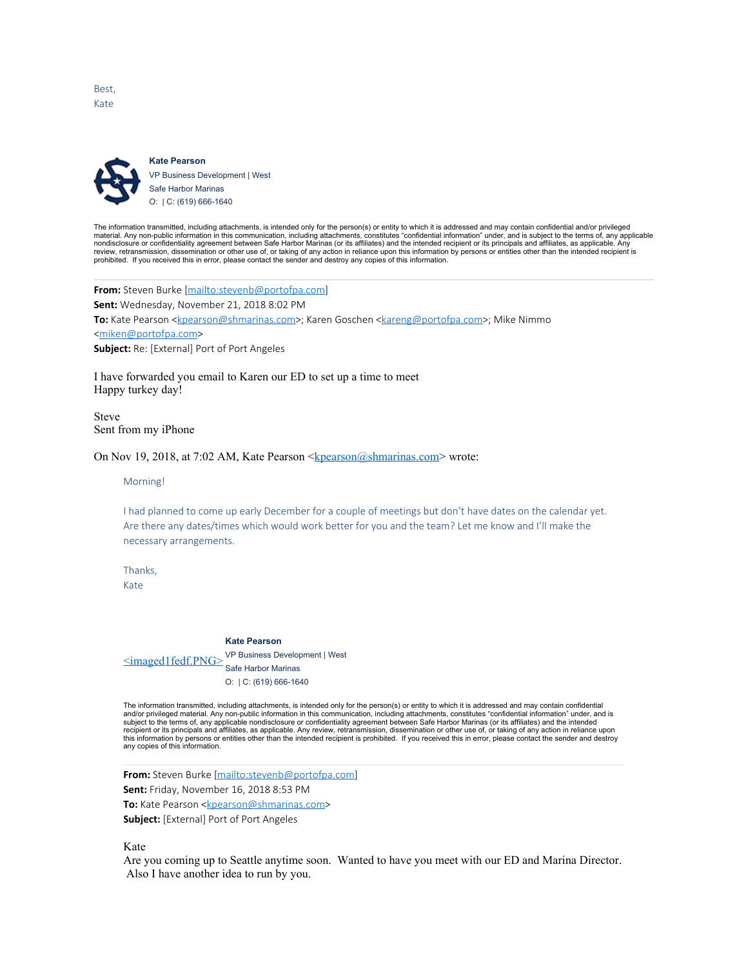Best, Kate



**Kate Pearson** VP Business Development | West Safe Harbor Marinas O: | C: (619) 666-1640

The information transmitted, including attachments, is intended only for the person(s) or entity to which it is addressed and may contain confidential and/or privileged<br>material. Any non-public information in this communic nondisclosure or confidentiality agreement between Safe Harbor Marinas (or its affiliates) and the intended recipient or its principals and affiliates, as applicable. Any<br>review, retransmission, dissemination or other use prohibited. If you received this in error, please contact the sender and destroy any copies of this information.

**From:** Steven Burke [<mailto:stevenb@portofpa.com>] **Sent:** Wednesday, November 21, 2018 8:02 PM **To:** Kate Pearson [<kpearson@shmarinas.com>](mailto:kpearson@shmarinas.com); Karen Goschen [<kareng@portofpa.com](mailto:kareng@portofpa.com)>; Mike Nimmo [<miken@portofpa.com](mailto:miken@portofpa.com)> **Subject:** Re: [External] Port of Port Angeles

I have forwarded you email to Karen our ED to set up a time to meet Happy turkey day!

Steve Sent from my iPhone

On Nov 19, 2018, at 7:02 AM, Kate Pearson <**kpearson@shmarinas.com>** wrote:

Morning!

I had planned to come up early December for a couple of meetings but don't have dates on the calendar yet. Are there any dates/times which would work better for you and the team? Let me know and I'll make the necessary arrangements.

Thanks,

Kate

#### **Kate Pearson**

 $\leq$ imaged $1$ fedf.PN $G$ >  $\leq$ r Business Develop VP Business Development | West

O: | C: (619) 666-1640

The information transmitted, including attachments, is intended only for the person(s) or entity to which it is addressed and may contain confidential<br>and/or privileged material. Any non-public information in this communic recipient or its principals and affiliates, as applicable. Any review, retransmission, dissemination or other use of, or taking of any action in reliance upon<br>this information by persons or entities other than the intended any copies of this information.

**From:** Steven Burke [<mailto:stevenb@portofpa.com>]

**Sent:** Friday, November 16, 2018 8:53 PM

**To:** Kate Pearson [<kpearson@shmarinas.com](mailto:kpearson@shmarinas.com)>

**Subject:** [External] Port of Port Angeles

Kate

Are you coming up to Seattle anytime soon. Wanted to have you meet with our ED and Marina Director. Also I have another idea to run by you.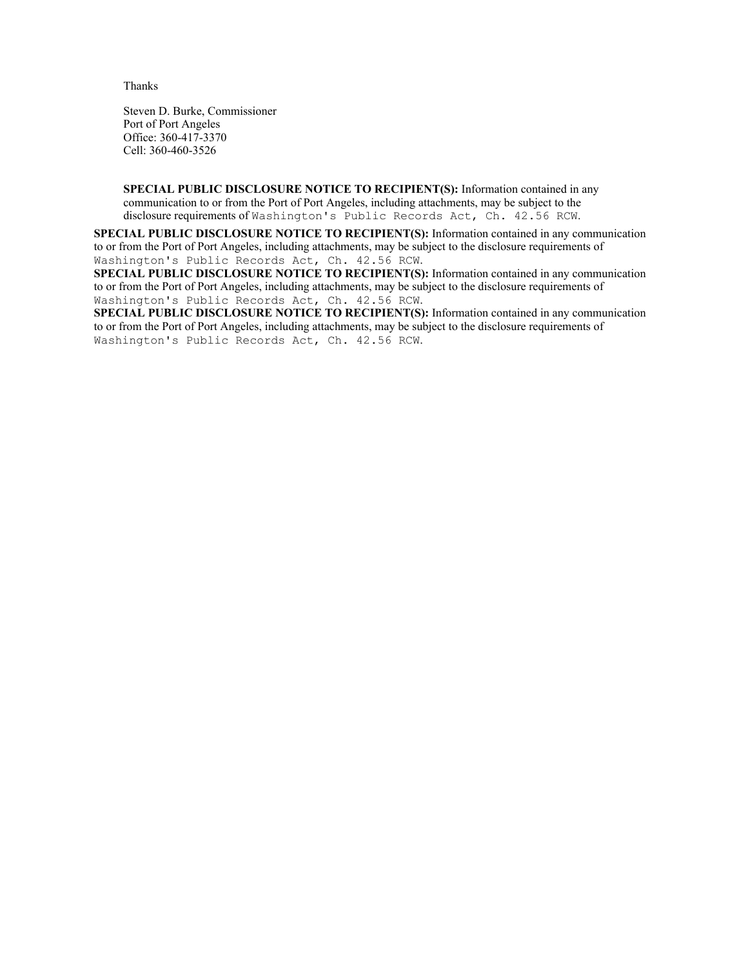Thanks

Steven D. Burke, Commissioner Port of Port Angeles Office: 360-417-3370 Cell: 360-460-3526

**SPECIAL PUBLIC DISCLOSURE NOTICE TO RECIPIENT(S):** Information contained in any communication to or from the Port of Port Angeles, including attachments, may be subject to the disclosure requirements of Washington's Public Records Act, Ch. 42.56 RCW.

**SPECIAL PUBLIC DISCLOSURE NOTICE TO RECIPIENT(S):** Information contained in any communication to or from the Port of Port Angeles, including attachments, may be subject to the disclosure requirements of Washington's Public Records Act, Ch. 42.56 RCW.

**SPECIAL PUBLIC DISCLOSURE NOTICE TO RECIPIENT(S):** Information contained in any communication to or from the Port of Port Angeles, including attachments, may be subject to the disclosure requirements of Washington's Public Records Act, Ch. 42.56 RCW.

**SPECIAL PUBLIC DISCLOSURE NOTICE TO RECIPIENT(S):** Information contained in any communication to or from the Port of Port Angeles, including attachments, may be subject to the disclosure requirements of Washington's Public Records Act, Ch. 42.56 RCW.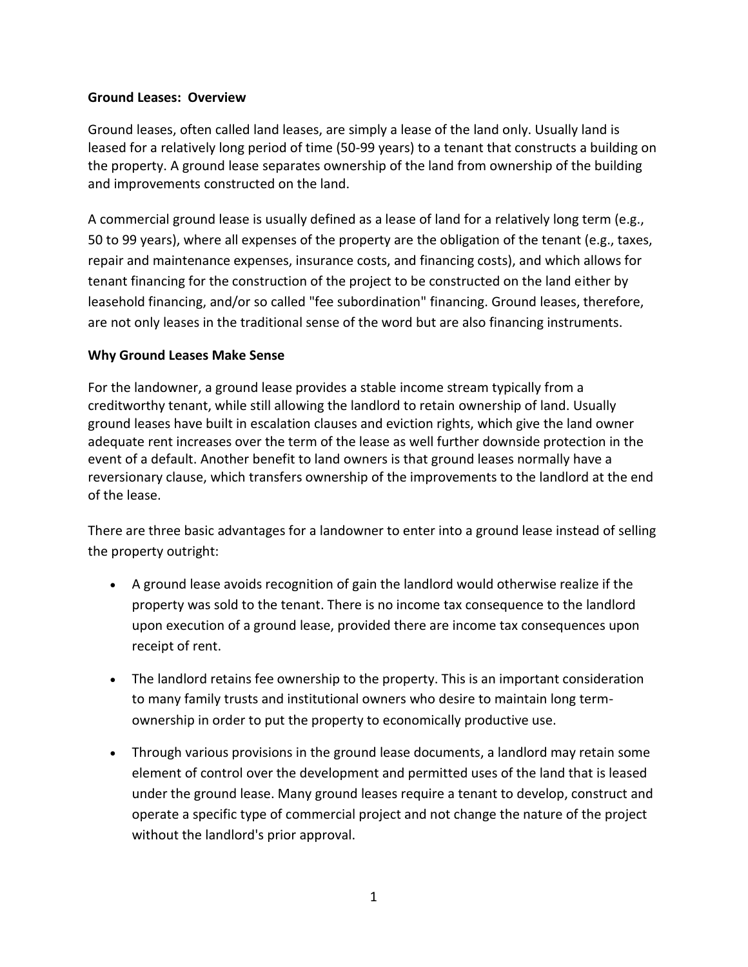# **Ground Leases: Overview**

Ground leases, often called land leases, are simply a lease of the land only. Usually land is leased for a relatively long period of time (50-99 years) to a tenant that constructs a building on the property. A ground lease separates ownership of the land from ownership of the building and improvements constructed on the land.

A commercial ground lease is usually defined as a lease of land for a relatively long term (e.g., 50 to 99 years), where all expenses of the property are the obligation of the tenant (e.g., taxes, repair and maintenance expenses, insurance costs, and financing costs), and which allows for tenant financing for the construction of the project to be constructed on the land either by leasehold financing, and/or so called "fee subordination" financing. Ground leases, therefore, are not only leases in the traditional sense of the word but are also financing instruments.

# **Why Ground Leases Make Sense**

For the landowner, a ground lease provides a stable income stream typically from a creditworthy tenant, while still allowing the landlord to retain ownership of land. Usually ground leases have built in escalation clauses and eviction rights, which give the land owner adequate rent increases over the term of the lease as well further downside protection in the event of a default. Another benefit to land owners is that ground leases normally have a reversionary clause, which transfers ownership of the improvements to the landlord at the end of the lease.

There are three basic advantages for a landowner to enter into a ground lease instead of selling the property outright:

- A ground lease avoids recognition of gain the landlord would otherwise realize if the property was sold to the tenant. There is no income tax consequence to the landlord upon execution of a ground lease, provided there are income tax consequences upon receipt of rent.
- The landlord retains fee ownership to the property. This is an important consideration to many family trusts and institutional owners who desire to maintain long termownership in order to put the property to economically productive use.
- Through various provisions in the ground lease documents, a landlord may retain some element of control over the development and permitted uses of the land that is leased under the ground lease. Many ground leases require a tenant to develop, construct and operate a specific type of commercial project and not change the nature of the project without the landlord's prior approval.